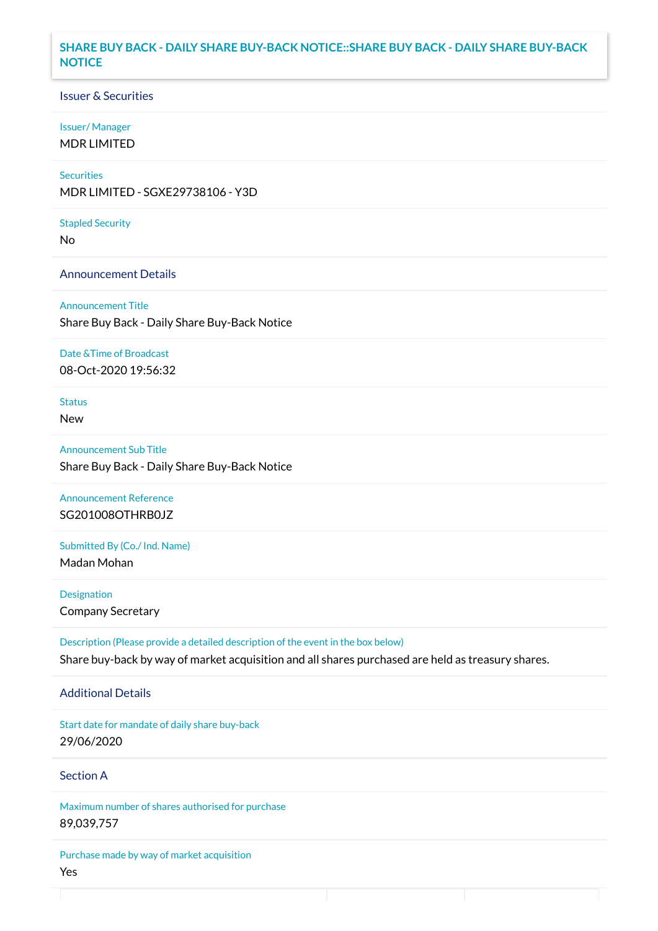### **SHARE BUY BACK - DAILY SHARE BUY-BACK NOTICE::SHARE BUY BACK - DAILY SHARE BUY-BACK NOTICE**

### Issuer & Securities

#### Issuer/ Manager

MDR LIMITED

## **Securities**

MDR LIMITED - SGXE29738106 - Y3D

#### Stapled Security

No

### Announcement Details

Announcement Title Share Buy Back - Daily Share Buy-Back Notice

#### Date &Time of Broadcast

08-Oct-2020 19:56:32

# Status

New

# Announcement Sub Title Share Buy Back - Daily Share Buy-Back Notice

Announcement Reference SG201008OTHRB0JZ

# Submitted By (Co./ Ind. Name)

Madan Mohan

**Designation** Company Secretary

Description (Please provide a detailed description of the event in the box below) Share buy-back by way of market acquisition and all shares purchased are held as treasury shares.

#### Additional Details

Start date for mandate of daily share buy-back 29/06/2020

### Section A

Maximum number of shares authorised for purchase 89,039,757

Purchase made by way of market acquisition Yes